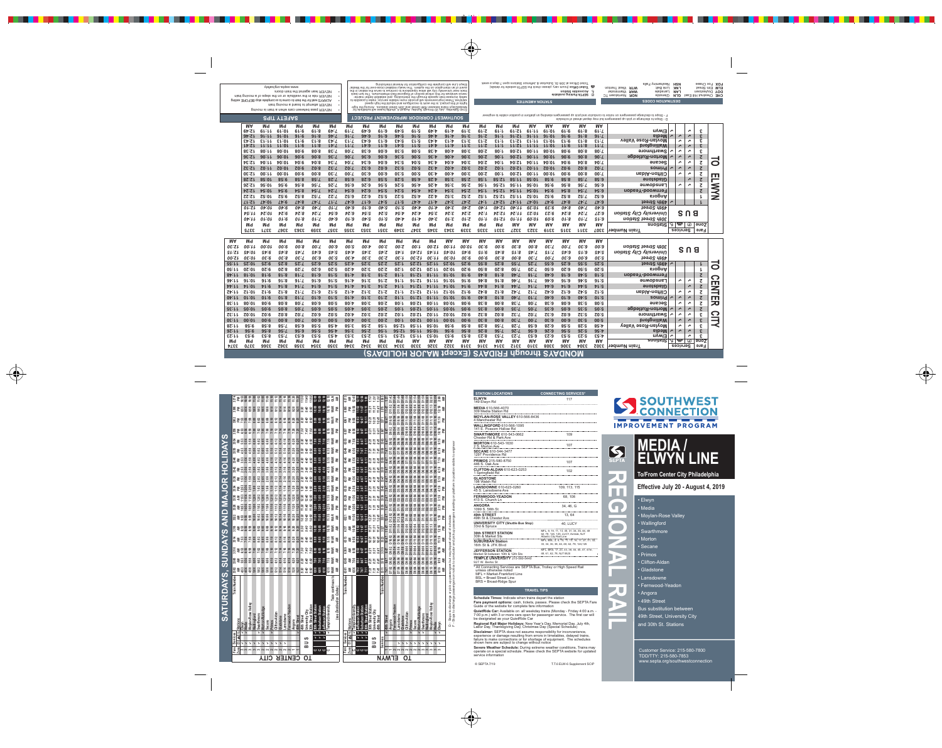| <b>STATION LOCATIONS</b>                                                                      | <b>CONNECTING SERVICES*</b>                                                                                  |
|-----------------------------------------------------------------------------------------------|--------------------------------------------------------------------------------------------------------------|
| <b>ELWYN</b><br>149 Elwyn Rd                                                                  | 117                                                                                                          |
| <b>MEDIA 610-566-4070</b><br>309 Media Station Rd                                             |                                                                                                              |
| <b>MOYLAN-ROSE VALLEY 610-566-8436</b><br>4 Manchester Rd                                     |                                                                                                              |
| <b>WALLINGFORD 610-566-1095</b><br>141 E. Possom Hollow Rd                                    |                                                                                                              |
| <b>SWARTHMORE 610-543-0662</b><br>Chester Rd & Park Ave                                       | 109                                                                                                          |
| <b>MORTON 610-543-1630</b><br>2 S. Morton Ave<br>---------------------------------            | 107                                                                                                          |
| <b>SECANE 610-544-3477</b><br>1297 Providence Rd                                              |                                                                                                              |
| <b>PRIMOS 215-580-8750</b><br>446 S. Oak Ave                                                  | 107                                                                                                          |
| <b>CLIFTON-ALDAN 610-623-0253</b><br>1 Springfield Rd                                         | 102<br>--------------------------------                                                                      |
| <b>GLADSTONE</b><br>198 Walsh Rd                                                              | ---------------------------------                                                                            |
| <b>LANSDOWNE 610-623-0260</b><br>45 S. Lansdowne Ave                                          | 109, 113, 115                                                                                                |
| <b>FERNWOOD-YEADON</b><br>413 S. Church Ln                                                    | 68, 108                                                                                                      |
| <b>ANGORA</b><br>1099 S. 58th St                                                              | 34, 46, G<br>-----------------------------                                                                   |
| 49th STREET<br>49th St & Chester Ave                                                          | 13, 64<br>------------------------                                                                           |
| <b>UNIVERSITY CITY (Shuttle Bus Stop)</b><br>33rd & Spruce<br>.                               | 40, LUCY                                                                                                     |
| <b>30th STREET STATION</b><br>30th & Market Sts                                               | MFL, 9, 10, 11, 13, 30, 31, 34, 36, 44, 49<br>62, 78, 124, 125, LUCY, Amtrak, NJT<br>Atlantic City Rail Line |
| <b>SUBURBAN Station</b><br>16th St & JFK Blvd                                                 | MFL, BSL, 2, 4, 10, 11, 13, 16, 17, 27, 31, 32,<br>33, 34, 36, 38, 44, 48, 62, 78, 124, 125                  |
| <b>JEFFERSON STATION</b>                                                                      | MFL, BRS, 17, 23, 33, 38, 44, 45, 47, 47m,                                                                   |
| Market St between 10th & 12th Sts                                                             | 48, 61, 62, 78, NJT BUS                                                                                      |
| <b>TEMPLE UNIVERSITY 215-580-5440</b>                                                         |                                                                                                              |
| 927 W. Berks St                                                                               |                                                                                                              |
| * All Connecting Services are SEPTA Bus, Trolley or High Speed Rail<br>unless otherwise noted |                                                                                                              |
| MFL = Market-Frankford Line                                                                   |                                                                                                              |
| RSL = Rroad Street Line                                                                       |                                                                                                              |

BSL = Broad Street Line BRS = Broad-Ridge Spur

#### **Travel Tips**

**schedule Times:** Indicate when trains depart the station

**Fare payment options:** cash, tickets, passes. Please check the SEPTA Fare Guide or the website for complete fare information

QuietRide Car: Available on all weekday trains (Monday - Friday 4:00 a.m. -7:00 p.m.) with 3 or more cars open for passenger service. The first car will be designated as your QuietRide Car

**Regional Rail Major Holidays: New Year's Day, Memorial Day, July 4th,** Labor Day, Thanksgiving Day, Christmas Day (Special Schedule)

**Disclaimer:** SEPTA does not assume responsibility for inconvenience, experience or damage resulting from errors in timetables, delayed trains, failure to make connections or for shortage of equipment. The schedules shown here are subject to change without notice

**severe Weather schedule:** During extreme weather conditions, Trains may operate on a special schedule. Please check the SEPTA website for updated service information



© SEPTA 7/19 T.T.6 ELW-6 Supplement SCIP





**REGIONAL RAIL**

# **MEDIA / ELWYN LINE**

**To/From Center City Philadelphia**

### **Effective July 20 - August 4, 2019**

#### • Elwyn

- Media
- Moylan-Rose Valley
- Wallingford
- Swarthmore
- Morton
- Secane
- Primos
- Clifton-Aldan
- Gladstone
- Lansdowne
- Fernwood-Yeadon
- Angora
- 49th Street

Bus substitution between 49th Street, University City and 30th St. Stations

Customer Service: 215-580-7800 TDD/TTY: 215-580-7853 www.septa.org/southwestconnection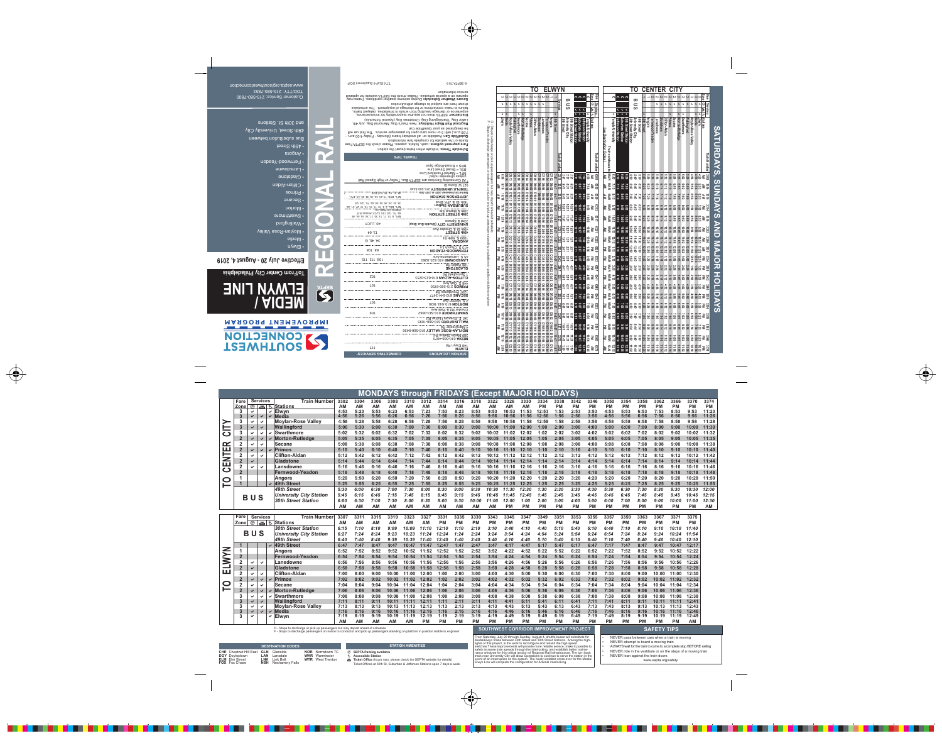F - Stops to discharge passengers on notice to conductor and pick up passengers standing on platform in position visible to engineer

#### **sTaTion aMeniTies**

- è **sepTa parking available**
- é **accessible station**
- **Ticket Office** (hours vary, please check the SEPTA website for details) Ticket Offices at 30th St, Suburban & Jefferson Stations open 7 days a week

ALWAYS wait for the train to come to a complete stop BEFORE exiting NEVER ride in the vestibule or on the steps of a moving train NEVER lean against the train doors

|                   |                  |                |                      |   |                                                                               |              |              |              |              |                                          |            | <b>MONDAYS through FRIDAYS (Except MAJOR HOLIDAYS)</b> |              |              |              |                   |                   |                   |                   |                   |                   |                   |              |                   |                   |                                        |                   |           |
|-------------------|------------------|----------------|----------------------|---|-------------------------------------------------------------------------------|--------------|--------------|--------------|--------------|------------------------------------------|------------|--------------------------------------------------------|--------------|--------------|--------------|-------------------|-------------------|-------------------|-------------------|-------------------|-------------------|-------------------|--------------|-------------------|-------------------|----------------------------------------|-------------------|-----------|
|                   | Fare             |                | <b>Services</b>      |   | <b>Train Number</b>                                                           | 3302         | 3304         | 3306         | 3308         | 3310                                     | 3312       | 3314                                                   | 3316         | 3318         | 3322         | 3326              | 3330              | 3334              | 3338              | 3342              | 3346              | 3350              | 3354         | 3358              | 3362              | 3366                                   | 3370              | 3374      |
|                   | <b>Zone</b>      | ®              |                      |   | 画もStations                                                                    | <b>AM</b>    | <b>AM</b>    | <b>AM</b>    | ΑM           | <b>AM</b>                                | <b>AM</b>  | <b>AM</b>                                              | <b>AM</b>    | <b>AM</b>    | <b>AM</b>    | <b>AM</b>         | AМ                | <b>PM</b>         | <b>PM</b>         | <b>PM</b>         | <b>PM</b>         | <b>PM</b>         | РM           | PM                | ΡM                | <b>PM</b>                              | <b>PM</b>         | <b>PM</b> |
|                   |                  |                |                      |   | $\vee$ Elwyn                                                                  | 4:53         | 5:23         | 5:53         | 6:23         | 6:53                                     | 7:23       | 7:53                                                   | 8:23         | 8:53         | 9:53         | 10:53             | 11:53             | 12:53             | 1:53              | 2:53              | 3:53              | 4:53              | 5:53         | 6:53              | 7:53              | 8:53                                   | 9:53              | 11:23     |
|                   |                  |                | ✔                    | ✔ | <b>Media</b>                                                                  | 4:56         | 5:26         | 5:56         | 6:26         | 6:56                                     | 7:26       | 7:56                                                   | 8:26         | 8:56         | 9:56         | 10:56             | 11:56             | 12:56             | 1:56              | 2:56              | 3:56              | 4:56              | 5:56         | 6:56              | 7:56              | 8:56                                   | 9:56              | 11:26     |
|                   | 3                | ✔              | ✓                    |   | <b>Moylan-Rose Valley</b>                                                     | 4:58         | 5:28         | 5:58         | 6:28         | 6:58                                     | 7:28       | 7:58                                                   | 8:28         | 8:58         | 9:58         | 10:58             | 11:58             | 12:58             | 1:58              | 2:58              | 3:58              | 4:58              | 5:58         | 6:58              | 7:58              | 8:58                                   | 9:58              | 11:28     |
| ー<br>こ            |                  | $\checkmark$   | ✔                    |   | Wallingford                                                                   | 5:00         | 5:30         | 6:00         | 6:30         | 7:00                                     | 7:30       | 8:00                                                   | 8:30         | 9:00         | 10:00        | 11:00             | 12:00             | 1:00              | 2:00              | 3:00              | 4:00              | 5:00              | 6:00         | 7:00              | 8:00              | 9:00                                   | 10:00             | 11:30     |
|                   | $\mathbf{3}$     | ✓              | ✓                    |   | <b>Swarthmore</b>                                                             | 5:02         | 5:32         | 6:02         | 6:32         | 7:02                                     | 7:32       | 8:02                                                   | 8:32         | 9:02         | 10:02        | 11:02             | 12:02             | 1:02              | 2:02              | 3:02              | 4:02              | 5:02              | 6:02         | 7:02              | 8:02              | 9:02                                   | 10:02             | 11:32     |
|                   |                  |                | $\checkmark$         |   | <b>Morton-Rutledge</b>                                                        | 5:05         | 5:35         | 6:05         | 6:35         | 7:05                                     | 7:35       | 8:05                                                   | 8:35         | 9:05         | 10:05        | 11:05             | 12:05             | 1:05              | 2:05              | 3:05              | 4:05              | 5:05              | 6:05         | 7:05              | 8:05              | 9:05                                   | 10:05             | 11:35     |
| $\mathbf{\alpha}$ | $\overline{2}$   | $\checkmark$   | $\checkmark$         |   | <b>Secane</b>                                                                 | 5:08         | 5:38         | 6:08         | 6:38         | 7:08                                     | 7:38       | 8:08                                                   | 8:38         | 9:08         | 10:08        | 11:08             | 12:08             | 1:08              | 2:08              | 3:08              | 4:08              | 5:08              | 6:08         | 7:08              | 8:08              | 9:08                                   | 10:08             | 11:38     |
| CENTEI            |                  |                | $\checkmark$         |   | <b>Primos</b>                                                                 | 5:10         | 5:40         | 6:10         | 6:40         | 7:10                                     | 7:40       | 8:10                                                   | 8:40         | 9:10         | 10:10        | 11:10             | 12:10             | 1:10              | 2:10              | 3:10              | 4:10              | 5:10              | 6:10         | 7:10              | 8:10              | 9:10                                   | 10:10             | 11:40     |
|                   | $\overline{2}$   |                | $\checkmark$         |   | <b>Clifton-Aldan</b>                                                          | 5:12         | 5:42         | 6:12         | 6:42         | 7:12                                     | 7:42       | 8:12                                                   | 8:42         | 9:12         | 10:12        | 11:12             | 12:12             | 1:12              | 2:12              | 3:12              | 4:12              | 5:12              | 6:12         | 7:12              | 8:12              | 9:12                                   | 10:12             | 11:42     |
|                   |                  |                |                      |   | Gladstone                                                                     | 5:14         | 5:44         | 6:14         | 6:44         | 7:14                                     | 7:44       | 8:14                                                   | 8:44         | 9:14         | 10:14        | 11:14             | 12:14             | 1:14              | 2:14              | 3:14              | 4:14              | 5:14              | 6:14         | 7:14              | 8:14              | 9:14                                   | 10:14             | 11:44     |
|                   | $\mathbf 2$      |                | $\checkmark$         |   | Lansdowne                                                                     | 5:16         | 5:46         | 6:16         | 6:46         | 7:16                                     | 7:46       | 8:16                                                   | 8:46         | 9:16         | 10:16        | 11:16             | 12:16             | 1:16              | 2:16              | 3:16              | 4:16              | 5:16              | 6:16         | 7:16              | 8:16              | 9:16                                   | 10:16             | 11:46     |
|                   |                  |                |                      |   | Fernwood-Yeadon                                                               | 5:18         | 5:48         | 6:18         | 6:48         | 7:18                                     | 7:48       | 8:18                                                   | 8:48         | 9:18         | 10:18        | 11:18             | 12:18             | 1:18              | 2:18              | 3:18              | 4:18              | 5:18              | 6:18         | 7:18              | 8:18              | 9:18                                   | 10:18             | 11:48     |
| <u>P</u>          |                  |                |                      |   | Angora                                                                        | 5:20         | 5:50         | 6:20         | 6:50         | 7:20                                     | 7:50       | 8:20                                                   | 8:50         | 9:20         | 10:20        | 11:20             | 12:20             | 1:20              | 2:20              | 3:20              | 4:20              | 5:20              | 6:20         | 7:20              | 8:20              | 9:20                                   | 10:20             | 11:50     |
|                   |                  |                |                      |   | <b>49th Street</b>                                                            | 5:25         | 5:55         | 6:25         | 6:55         | 7:25                                     | 7:55       | 8:25                                                   | 8:55         | 9:25         | 10:25        | 11:25             | 12:25             | 1:25              | 2:25              | 3:25              | 4:25              | 5:25              | 6:25         | 7:25              | 8:25              | 9:25                                   | 10:25             | 11:55     |
|                   |                  |                | BUS                  |   | <b>49th Street</b>                                                            | 5:30         | 6:00         | 6:30         | 7:00         | 7:30                                     | 8:00       | 8:30                                                   | 9:00         | 9:30         | 10:30        | 11:30             | 12:30             | 1:30              | 2:30              | 3:30              | 4:30              | 5:30              | 6:30         | 7:30              | 8:30              | 9:30                                   | 10:30             | 12:00     |
|                   |                  |                |                      |   | <b>University City Station</b>                                                | 5:45         | 6:15         | 6:45         | 7:15         | 7:45                                     | 8:15       | 8:45                                                   | 9:15         | 9:45         | 10:45        | 11:45             | 12:45             | 1:45              | 2:45              | 3:45              | 4:45              | 5:45              | 6:45         | 7:45              | 8:45              | 9:45                                   | 10:45             | 12:15     |
|                   |                  |                |                      |   | <b>30th Street Station</b>                                                    | 6:00         | 6:30         | 7:00         | 7:30         | 8:00                                     | 8:30       | 9:00                                                   | 9:30         | 10:00        | 11:00        | 12:00             | 1:00              | 2:00              | 3:00              | 4:00              | 5:00              | 6:00              | 7:00         | 8:00              | 9:00              | 10:00                                  | 11:00             | 12:30     |
|                   |                  |                |                      |   |                                                                               | <b>AM</b>    | <b>AM</b>    | <b>AM</b>    | <b>AM</b>    | <b>AM</b>                                | <b>AM</b>  | <b>AM</b>                                              | <b>AM</b>    | <b>AM</b>    | <b>AM</b>    | <b>PM</b>         | <b>PM</b>         | <b>PM</b>         | <b>PM</b>         | <b>PM</b>         | <b>PM</b>         | <b>PM</b>         | <b>PM</b>    | <b>PM</b>         | PM                | <b>PM</b>                              | <b>PM</b>         | AM        |
|                   |                  |                |                      |   |                                                                               |              |              |              |              |                                          |            |                                                        |              |              |              |                   |                   |                   |                   |                   |                   |                   |              |                   |                   |                                        |                   |           |
|                   | Fare             |                |                      |   |                                                                               |              | 3311         |              |              |                                          |            |                                                        |              |              | 3343         |                   |                   |                   |                   |                   |                   |                   |              |                   | 3367              |                                        |                   |           |
|                   | <b>Zone</b> I    |                | <b>Services</b>      |   | <b>Train Number</b>                                                           | 3307<br>AM   | ΑM           | 3315         | 3319<br>ΑM   | 3323<br>ΑM                               | 3327<br>AМ | 3331<br><b>PM</b>                                      | 3335         | 3339<br>РM   | РM           | 3345<br><b>PM</b> | 3347<br><b>PM</b> | 3349<br><b>PM</b> | 3351<br><b>PM</b> | 3353<br><b>PM</b> | 3355<br><b>PM</b> | 3357              | 3359<br>РM   | 3363              | РM                | 3371                                   | 3375<br><b>PM</b> |           |
|                   |                  | $^{\circledR}$ | 画も                   |   | <b>Stations</b>                                                               |              | 7:10         | AM<br>8:10   | 9:09         | 10:09                                    | 11:10      | 12:10                                                  | 1:10         | 2:10         | 3:10         | 3:40              | 4:10              | 4:40              | 5:10              | 5:40              | 6:10              | <b>PM</b><br>6:40 | 7:10         | <b>PM</b><br>8:10 | 9:10              | <b>PM</b>                              | 11:40             |           |
|                   |                  |                |                      |   | <b>30th Street Station</b>                                                    | 6:15         | 7:24         | 8:24         | 9:23         | 10:23                                    | 11:24      | 12:24                                                  | 1:24         | 2:24         | 3:24         | 3:54              | 4:24              | 4:54              | 5:24              | 5:54              | 6:24              | 6:54              | 7:24         | 8:24              | 9:24              | 10:10<br>10:24                         | 11:54             |           |
|                   |                  | <b>BUS</b>     |                      |   | <b>University City Station</b>                                                | 6:27         | 7:40         | 8:40         | 9:39         | 10:39                                    | 11:40      | 12:40                                                  | 1:40         | 2:40         |              |                   | 4:40              | 5:10              | 5:40              |                   | 6:40              |                   |              |                   |                   |                                        |                   |           |
|                   |                  |                |                      |   | <b>49th Street</b>                                                            | 6:40<br>6:47 | 7:47         | 8:47         | 9:47         | 10:47                                    | 11:47      | 12:47                                                  | 1:47         | 2:47         | 3:40<br>3:47 | 4:10<br>4:17      | 4:47              | 5:17              | 5:47              | 6:10<br>6:17      | 6:47              | 7:10<br>7:17      | 7:40<br>7:47 | 8:40<br>8:47      | 9:40<br>9:47      | 10:40<br>10:47                         | 12:10<br>12:17    |           |
|                   |                  |                |                      |   | <b>49th Street</b>                                                            | 6:52         | 7:52         | 8:52         | 9:52         | 10:52                                    | 11:52      | 12:52                                                  | 1:52         | 2:52         | 3:52         | 4:22              | 4:52              | 5:22              | 5:52              | 6:22              | 6:52              | 7:22              | 7:52         | 8:52              | 9:52              | 10:52                                  | 12:22             |           |
|                   | $\overline{2}$   |                |                      |   | Angora<br><b>Fernwood-Yeadon</b>                                              |              |              |              | 9:54         | 10:54                                    | 11:54      | 12:54                                                  | 1:54         | 2:54         | 3:54         |                   | 4:54              | 5:24              | 5:54              | 6:24              | 6:54              |                   |              |                   |                   |                                        | 12:24             |           |
|                   |                  | ✓              | $\checkmark$         |   |                                                                               | 6:54         | 7:54         | 8:54         |              | 10:56                                    | 11:56      | 12:56                                                  | 1:56         |              | 3:56         | 4:24              |                   |                   | 5:56              |                   | 6:56              | 7:24              | 7:54         | 8:54              | 9:54<br>9:56      | 10:54                                  |                   |           |
|                   | $\overline{2}$   | ✔              |                      |   | Lansdowne<br>Gladstone                                                        | 6:56<br>6:58 | 7:56<br>7:58 | 8:56<br>8:58 | 9:56<br>9:58 | 10:58                                    | 11:58      | 12:58                                                  | 1:58         | 2:56<br>2:58 | 3:58         | 4:26<br>4:28      | 4:56<br>4:58      | 5:26<br>5:28      | 5:58              | 6:26<br>6:28      | 6:58              | 7:26<br>7:28      | 7:56<br>7:58 | 8:56<br>8:58      | 9:58              | 10:56                                  | 12:26<br>12:28    |           |
| ELWYN             | $\mathbf{2}$     | ✓              | $\checkmark$         |   |                                                                               |              | 8:00         | 9:00         | 10:00        | 11:00                                    | 12:00      | 1:00                                                   | 2:00         | 3:00         | 4:00         |                   | 5:00              |                   | 6:00              |                   | 7:00              |                   | 8:00         |                   | 10:00             | 10:58                                  |                   |           |
|                   |                  |                | ✔                    |   | <b>Clifton-Aldan</b>                                                          | 7:00         | 8:02         | 9:02         | 10:02        | 11:02                                    | 12:02      | 1:02                                                   | 2:02         | 3:02         | 4:02         | 4:30<br>4:32      | 5:02              | 5:30              | 6:02              | 6:30              | 7:02              | 7:30              | 8:02         | 9:00<br>9:02      | 10:02             | 11:00                                  | 12:30             |           |
|                   |                  |                | ✓                    |   | Primos<br><b>ISecane</b>                                                      | 7:02         |              |              | 10:04        | 11:04                                    | 12:04      | 1:04                                                   | 2:04         | 3:04         | 4:04         |                   | 5:04              | 5:32              | 6:04              | 6:32              |                   | 7:32              |              |                   |                   | 11:02<br>11:04                         | 12:32             |           |
| $\mathbf{O}$<br>⊢ |                  |                | $\blacktriangledown$ |   |                                                                               | 7:04         | 8:04<br>8:06 | 9:04<br>9:06 | 10:06        | 11:06                                    | 12:06      | 1:06                                                   | 2:06         | 3:06         | 4:06         | 4:34<br>4:36      | 5:06              | 5:34<br>5:36      | 6:06              | 6:34<br>6:36      | 7:04<br>7:06      | 7:34<br>7:36      | 8:04<br>8:06 | 9:04<br>9:06      | 10:04             |                                        | 12:34             |           |
|                   | 3                | ✔              | ✔                    |   | <b>√ Morton-Rutledge</b>                                                      | 7:06         |              |              |              |                                          |            |                                                        |              |              | 4:08         |                   |                   |                   |                   |                   |                   |                   |              |                   | 10:06             | 11:06                                  | 12:36             |           |
|                   | 3                | ✔              | $\blacktriangledown$ |   | $\vee$ Swarthmore<br><b>Wallingford</b>                                       | 7:08<br>7:11 | 8:08<br>8:11 | 9:08<br>9:11 |              | 10:08 11:08 12:08<br>10:11  11:11  12:11 |            | 1:08<br>1:11                                           | 2:08<br>2:11 | 3:08<br>3:11 | 4:11         | 4:38<br>4:41      | 5:08<br>5:11      | 5:38<br>5:41      | 6:08<br>6:11      | 6:38<br>6:41      | 7:08<br>7:11      | 7:38<br>7:41      | 8:08<br>8:11 | 9:08<br>9:11      |                   | 10:08 11:08 12:38<br>10:11 11:11 12:41 |                   |           |
|                   | 3                | ✔              | $\checkmark$         |   | <b>Moylan-Rose Valley</b>                                                     | 7:13         | 8:13         | 9:13         |              | 10:13  11:13  12:13                      |            | 1:13                                                   | 2:13         | 3:13         | 4:13         | 4:43              | 5:13              | 5:43              | 6:13              | 6:43              | 7:13              | 7:43              | 8:13         | 9:13              | 10:13 11:13 12:43 |                                        |                   |           |
|                   | $\boldsymbol{3}$ | ✔              | $\blacktriangledown$ |   | $\vee$ Media                                                                  | 7:16         | 8:16         | 9:16         |              | 10:16 11:16 12:16                        |            | 1:16                                                   | 2:16         | 3:16         | 4:16         | 4:46              | 5:16              | 5:46              | 6:16              | 6:46              | 7:16              | 7:46              | 8:16         | 9:16              |                   | 10:16 11:16 12:46                      |                   |           |
|                   | $\mathbf{3}$     | ✓              |                      |   | $\vee$ Elwyn                                                                  | 7:19         | 8:19         | 9:19         |              | 10:19 11:19 12:19                        |            | 1:19                                                   | 2:19         | 3:19         | 4:19         | 4:49              | 5:19              | 5:49              | 6:19              | 6:49              | 7:19              | 7:49              | 8:19         | 9:19              |                   | 10:19 11:19 12:49                      |                   |           |
|                   |                  |                |                      |   | D - Stops to discharge or pick up passengers but may depart ahead of schedule | <b>AM</b>    | <b>AM</b>    | <b>AM</b>    | <b>AM</b>    | AM                                       | <b>PM</b>  | <b>PM</b>                                              | <b>PM</b>    | <b>PM</b>    | <b>PM</b>    | <b>PM</b>         | <b>PM</b>         | <b>PM</b>         | <b>PM</b>         | <b>PM</b>         | <b>PM</b>         | <b>PM</b>         | <b>PM</b>    | <b>PM</b>         | <b>PM</b>         | <b>PM</b>                              | AM                |           |

#### **DesTinaTion CoDes**

**CHe** Chestnut Hill East **Doy** Doylestown **elM** Elm Street

**FoX** Fox Chase

**gln** Glenside

- **lan** Lansdale **lnK** Link Belt **nsH** Neshaminy Falls
- **nor** Norristown TC **War** Warminster

**WTr** West Trenton

NEVER pass between cars when a train is moving

NEVER attempt to board a moving train

•••

www.septa.org/safety

From Saturday, July 20 through Sunday, August 4, shuttle buses will substitute for Media/Elwyn trains between 49th Street and 30th Street Stations. Among the highlights of this project, is the work to reconfigure and rebuild the high speed switches.These improvements will provide more reliable service; make it possible to safely increase train speeds through the interlocking, and establish better maintenance windows for this critical section of Regional Rail infrastructure. The turn back track near University City will allow Operations to continue to serve the station in the event of an interruption on the system. The newly installed cross-over for the Media/ Elwyn Line will complete the configuration for Arsenal interlocking.